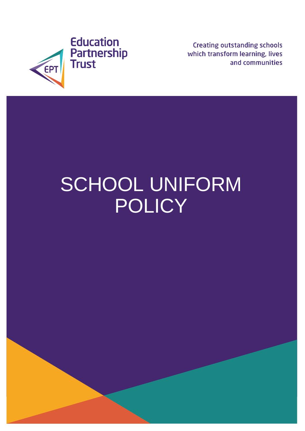

**Creating outstanding schools** which transform learning, lives and communities

# SCHOOL UNIFORM **POLICY**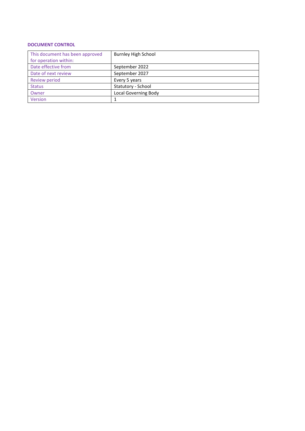#### **DOCUMENT CONTROL**

| This document has been approved | Burnley High School         |
|---------------------------------|-----------------------------|
| for operation within:           |                             |
| Date effective from             | September 2022              |
| Date of next review             | September 2027              |
| Review period                   | Every 5 years               |
| <b>Status</b>                   | Statutory - School          |
| Owner                           | <b>Local Governing Body</b> |
| Version                         |                             |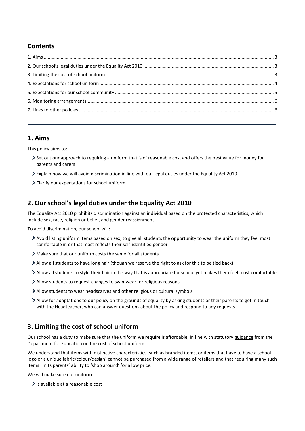## **Contents**

## <span id="page-2-0"></span>**1. Aims**

This policy aims to:

- Set out our approach to requiring a uniform that is of reasonable cost and offers the best value for money for parents and carers
- Explain how we will avoid discrimination in line with our legal duties under the Equality Act 2010
- Clarify our expectations for school uniform

## <span id="page-2-1"></span>**2. Our school's legal duties under the Equality Act 2010**

The [Equality Act 2010](https://www.legislation.gov.uk/ukpga/2010/15/contents) prohibits discrimination against an individual based on the protected characteristics, which include sex, race, religion or belief, and gender reassignment.

To avoid discrimination, our school will:

- Avoid listing uniform items based on sex, to give all students the opportunity to wear the uniform they feel most comfortable in or that most reflects their self-identified gender
- Make sure that our uniform costs the same for all students
- Allow all students to have long hair (though we reserve the right to ask for this to be tied back)
- Allow all students to style their hair in the way that is appropriate for school yet makes them feel most comfortable
- Allow students to request changes to swimwear for religious reasons
- Allow students to wear headscarves and other religious or cultural symbols
- Allow for adaptations to our policy on the grounds of equality by asking students or their parents to get in touch with the Headteacher, who can answer questions about the policy and respond to any requests

## <span id="page-2-2"></span>**3. Limiting the cost of school uniform**

Our school has a duty to make sure that the uniform we require is affordable, in line with statutor[y guidance](https://www.gov.uk/government/publications/cost-of-school-uniforms/cost-of-school-uniforms) from the Department for Education on the cost of school uniform.

We understand that items with distinctive characteristics (such as branded items, or items that have to have a school logo or a unique fabric/colour/design) cannot be purchased from a wide range of retailers and that requiring many such items limits parents' ability to 'shop around' for a low price.

We will make sure our uniform:

> Is available at a reasonable cost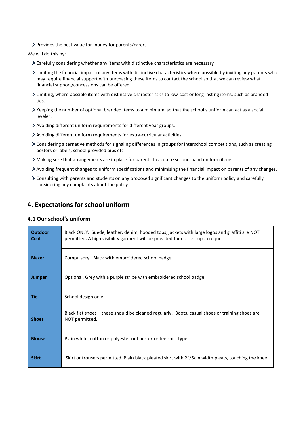Provides the best value for money for parents/carers

We will do this by:

- Carefully considering whether any items with distinctive characteristics are necessary
- Limiting the financial impact of any items with distinctive characteristics where possible by inviting any parents who may require financial support with purchasing these items to contact the school so that we can review what financial support/concessions can be offered.
- Limiting, where possible items with distinctive characteristics to low-cost or long-lasting items, such as branded ties.
- Keeping the number of optional branded items to a minimum, so that the school's uniform can act as a social leveler.
- Avoiding different uniform requirements for different year groups.
- Avoiding different uniform requirements for extra-curricular activities.
- Considering alternative methods for signaling differences in groups for interschool competitions, such as creating posters or labels, school provided bibs etc
- Making sure that arrangements are in place for parents to acquire second-hand uniform items.
- Avoiding frequent changes to uniform specifications and minimising the financial impact on parents of any changes.
- Consulting with parents and students on any proposed significant changes to the uniform policy and carefully considering any complaints about the policy

## <span id="page-3-0"></span>**4. Expectations for school uniform**

#### **4.1 Our school's uniform**

| <b>Outdoor</b><br>Coat | Black ONLY. Suede, leather, denim, hooded tops, jackets with large logos and graffiti are NOT<br>permitted. A high visibility garment will be provided for no cost upon request. |
|------------------------|----------------------------------------------------------------------------------------------------------------------------------------------------------------------------------|
| <b>Blazer</b>          | Compulsory. Black with embroidered school badge.                                                                                                                                 |
| <b>Jumper</b>          | Optional. Grey with a purple stripe with embroidered school badge.                                                                                                               |
| Tie                    | School design only.                                                                                                                                                              |
| <b>Shoes</b>           | Black flat shoes – these should be cleaned regularly. Boots, casual shoes or training shoes are<br>NOT permitted.                                                                |
| <b>Blouse</b>          | Plain white, cotton or polyester not aertex or tee shirt type.                                                                                                                   |
| <b>Skirt</b>           | Skirt or trousers permitted. Plain black pleated skirt with 2"/5cm width pleats, touching the knee                                                                               |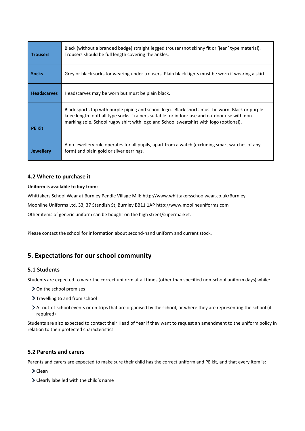| <b>Trousers</b>    | Black (without a branded badge) straight legged trouser (not skinny fit or 'jean' type material).<br>Trousers should be full length covering the ankles.                                                                                                                                 |
|--------------------|------------------------------------------------------------------------------------------------------------------------------------------------------------------------------------------------------------------------------------------------------------------------------------------|
| <b>Socks</b>       | Grey or black socks for wearing under trousers. Plain black tights must be worn if wearing a skirt.                                                                                                                                                                                      |
| <b>Headscarves</b> | Headscarves may be worn but must be plain black.                                                                                                                                                                                                                                         |
| <b>PE Kit</b>      | Black sports top with purple piping and school logo. Black shorts must be worn. Black or purple<br>knee length football type socks. Trainers suitable for indoor use and outdoor use with non-<br>marking sole. School rugby shirt with logo and School sweatshirt with logo (optional). |
| <b>Jewellery</b>   | A no jewellery rule operates for all pupils, apart from a watch (excluding smart watches of any<br>form) and plain gold or silver earrings.                                                                                                                                              |

#### **4.2 Where to purchase it**

#### **Uniform is available to buy from:**

Whittakers School Wear at Burnley Pendle Village Mill: <http://www.whittakersschoolwear.co.uk/Burnley>

Moonline Uniforms Ltd. 33, 37 Standish St, Burnley BB11 1AP [http://www.moolineuniforms.com](http://www.moolineuniforms.com/)

Other items of generic uniform can be bought on the high street/supermarket.

Please contact the school for information about second-hand uniform and current stock.

## <span id="page-4-0"></span>**5. Expectations for our school community**

#### **5.1 Students**

Students are expected to wear the correct uniform at all times (other than specified non-school uniform days) while:

- > On the school premises
- > Travelling to and from school
- At out-of-school events or on trips that are organised by the school, or where they are representing the school (if required)

Students are also expected to contact their Head of Year if they want to request an amendment to the uniform policy in relation to their protected characteristics.

#### **5.2 Parents and carers**

Parents and carers are expected to make sure their child has the correct uniform and PE kit, and that every item is:

> Clean

Clearly labelled with the child's name